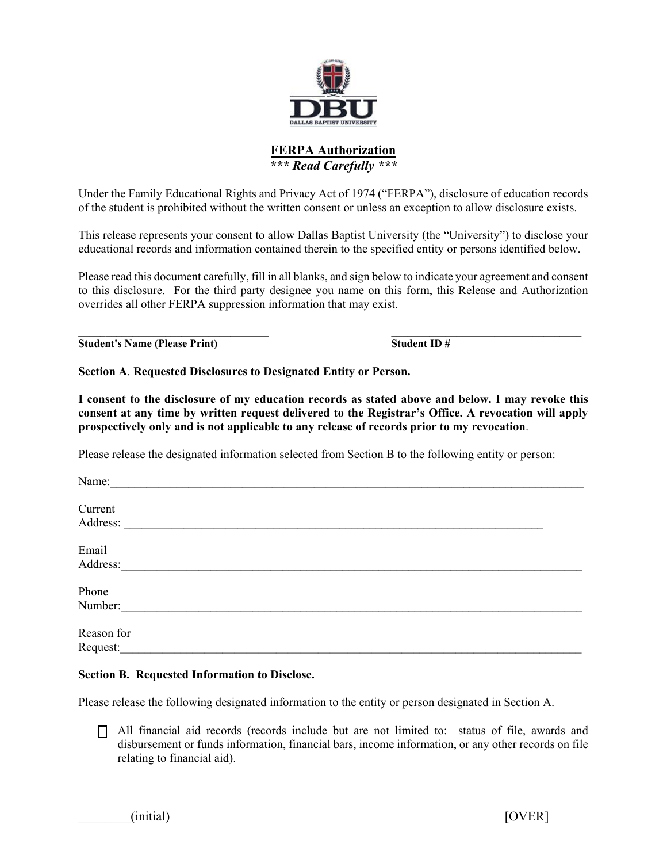

# **FERPA Authorization**  *\*\*\* Read Carefully \*\*\**

Under the Family Educational Rights and Privacy Act of 1974 ("FERPA"), disclosure of education records of the student is prohibited without the written consent or unless an exception to allow disclosure exists.

This release represents your consent to allow Dallas Baptist University (the "University") to disclose your educational records and information contained therein to the specified entity or persons identified below.

Please read this document carefully, fill in all blanks, and sign below to indicate your agreement and consent to this disclosure. For the third party designee you name on this form, this Release and Authorization overrides all other FERPA suppression information that may exist.

 $\mathcal{L}_\text{max}$  , and the contribution of the contribution of the contribution of the contribution of the contribution of the contribution of the contribution of the contribution of the contribution of the contribution of t **Student's Name (Please Print) Student ID #**

**Section A**. **Requested Disclosures to Designated Entity or Person.** 

**I consent to the disclosure of my education records as stated above and below. I may revoke this consent at any time by written request delivered to the Registrar's Office. A revocation will apply prospectively only and is not applicable to any release of records prior to my revocation**.

Please release the designated information selected from Section B to the following entity or person:

| Name:      |  |  |
|------------|--|--|
| Current    |  |  |
| Address:   |  |  |
| Email      |  |  |
| Address:   |  |  |
| Phone      |  |  |
| Number:    |  |  |
| Reason for |  |  |
| Request:   |  |  |

## **Section B. Requested Information to Disclose.**

Please release the following designated information to the entity or person designated in Section A.

 All financial aid records (records include but are not limited to: status of file, awards and disbursement or funds information, financial bars, income information, or any other records on file relating to financial aid).